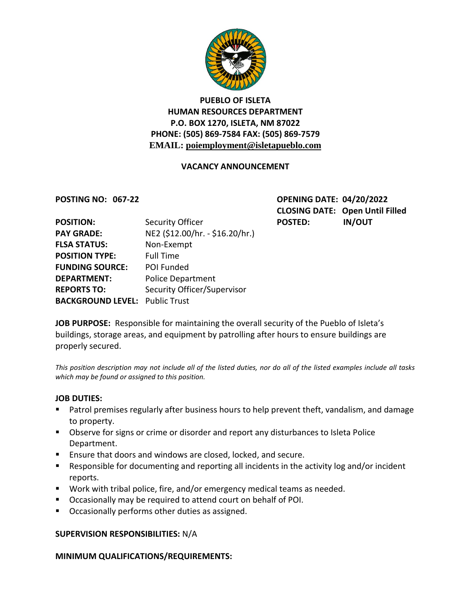

# **PUEBLO OF ISLETA HUMAN RESOURCES DEPARTMENT P.O. BOX 1270, ISLETA, NM 87022 PHONE: (505) 869-7584 FAX: (505) 869-7579 EMAIL: poiemployment@isletapueblo.com**

## **VACANCY ANNOUNCEMENT**

**POSTING NO: 067-22 OPENING DATE: 04/20/2022 CLOSING DATE: Open Until Filled**

| <b>POSITION:</b>                      | Security Officer                | <b>POSTED:</b> | <b>IN/OUT</b> |
|---------------------------------------|---------------------------------|----------------|---------------|
| <b>PAY GRADE:</b>                     | NE2 (\$12.00/hr. - \$16.20/hr.) |                |               |
| <b>FLSA STATUS:</b>                   | Non-Exempt                      |                |               |
| <b>POSITION TYPE:</b>                 | <b>Full Time</b>                |                |               |
| <b>FUNDING SOURCE:</b>                | POI Funded                      |                |               |
| <b>DEPARTMENT:</b>                    | <b>Police Department</b>        |                |               |
| <b>REPORTS TO:</b>                    | Security Officer/Supervisor     |                |               |
| <b>BACKGROUND LEVEL: Public Trust</b> |                                 |                |               |

**JOB PURPOSE:** Responsible for maintaining the overall security of the Pueblo of Isleta's buildings, storage areas, and equipment by patrolling after hours to ensure buildings are properly secured.

*This position description may not include all of the listed duties, nor do all of the listed examples include all tasks which may be found or assigned to this position.*

#### **JOB DUTIES:**

- **Patrol premises regularly after business hours to help prevent theft, vandalism, and damage** to property.
- Observe for signs or crime or disorder and report any disturbances to Isleta Police Department.
- Ensure that doors and windows are closed, locked, and secure.
- Responsible for documenting and reporting all incidents in the activity log and/or incident reports.
- Work with tribal police, fire, and/or emergency medical teams as needed.
- Occasionally may be required to attend court on behalf of POI.
- **Decasionally performs other duties as assigned.**

### **SUPERVISION RESPONSIBILITIES:** N/A

### **MINIMUM QUALIFICATIONS/REQUIREMENTS:**